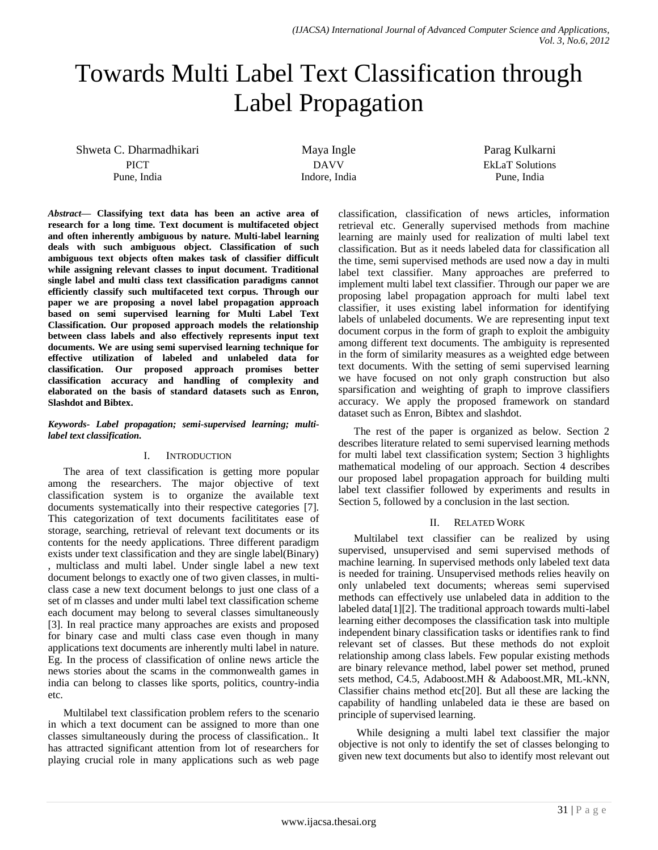# Towards Multi Label Text Classification through Label Propagation

Shweta C. Dharmadhikari **PICT** Pune, India

Maya Ingle DAVV Indore, India Parag Kulkarni EkLaT Solutions Pune, India

*Abstract***— Classifying text data has been an active area of research for a long time. Text document is multifaceted object and often inherently ambiguous by nature. Multi-label learning deals with such ambiguous object. Classification of such ambiguous text objects often makes task of classifier difficult while assigning relevant classes to input document. Traditional single label and multi class text classification paradigms cannot efficiently classify such multifaceted text corpus. Through our paper we are proposing a novel label propagation approach based on semi supervised learning for Multi Label Text Classification. Our proposed approach models the relationship between class labels and also effectively represents input text documents. We are using semi supervised learning technique for effective utilization of labeled and unlabeled data for classification. Our proposed approach promises better classification accuracy and handling of complexity and elaborated on the basis of standard datasets such as Enron, Slashdot and Bibtex.**

#### *Keywords- Label propagation; semi-supervised learning; multilabel text classification.*

# I. INTRODUCTION

The area of text classification is getting more popular among the researchers. The major objective of text classification system is to organize the available text documents systematically into their respective categories [7]. This categorization of text documents facilititates ease of storage, searching, retrieval of relevant text documents or its contents for the needy applications. Three different paradigm exists under text classification and they are single label(Binary) , multiclass and multi label. Under single label a new text document belongs to exactly one of two given classes, in multiclass case a new text document belongs to just one class of a set of m classes and under multi label text classification scheme each document may belong to several classes simultaneously [3]. In real practice many approaches are exists and proposed for binary case and multi class case even though in many applications text documents are inherently multi label in nature. Eg. In the process of classification of online news article the news stories about the scams in the commonwealth games in india can belong to classes like sports, politics, country-india etc.

Multilabel text classification problem refers to the scenario in which a text document can be assigned to more than one classes simultaneously during the process of classification.. It has attracted significant attention from lot of researchers for playing crucial role in many applications such as web page

classification, classification of news articles, information retrieval etc. Generally supervised methods from machine learning are mainly used for realization of multi label text classification. But as it needs labeled data for classification all the time, semi supervised methods are used now a day in multi label text classifier. Many approaches are preferred to implement multi label text classifier. Through our paper we are proposing label propagation approach for multi label text classifier, it uses existing label information for identifying labels of unlabeled documents. We are representing input text document corpus in the form of graph to exploit the ambiguity among different text documents. The ambiguity is represented in the form of similarity measures as a weighted edge between text documents. With the setting of semi supervised learning we have focused on not only graph construction but also sparsification and weighting of graph to improve classifiers accuracy. We apply the proposed framework on standard dataset such as Enron, Bibtex and slashdot.

The rest of the paper is organized as below. Section 2 describes literature related to semi supervised learning methods for multi label text classification system; Section 3 highlights mathematical modeling of our approach. Section 4 describes our proposed label propagation approach for building multi label text classifier followed by experiments and results in Section 5, followed by a conclusion in the last section.

# II. RELATED WORK

Multilabel text classifier can be realized by using supervised, unsupervised and semi supervised methods of machine learning. In supervised methods only labeled text data is needed for training. Unsupervised methods relies heavily on only unlabeled text documents; whereas semi supervised methods can effectively use unlabeled data in addition to the labeled data[1][2]. The traditional approach towards multi-label learning either decomposes the classification task into multiple independent binary classification tasks or identifies rank to find relevant set of classes. But these methods do not exploit relationship among class labels. Few popular existing methods are binary relevance method, label power set method, pruned sets method, C4.5, Adaboost.MH & Adaboost.MR, ML-kNN, Classifier chains method etc[20]. But all these are lacking the capability of handling unlabeled data ie these are based on principle of supervised learning.

While designing a multi label text classifier the major objective is not only to identify the set of classes belonging to given new text documents but also to identify most relevant out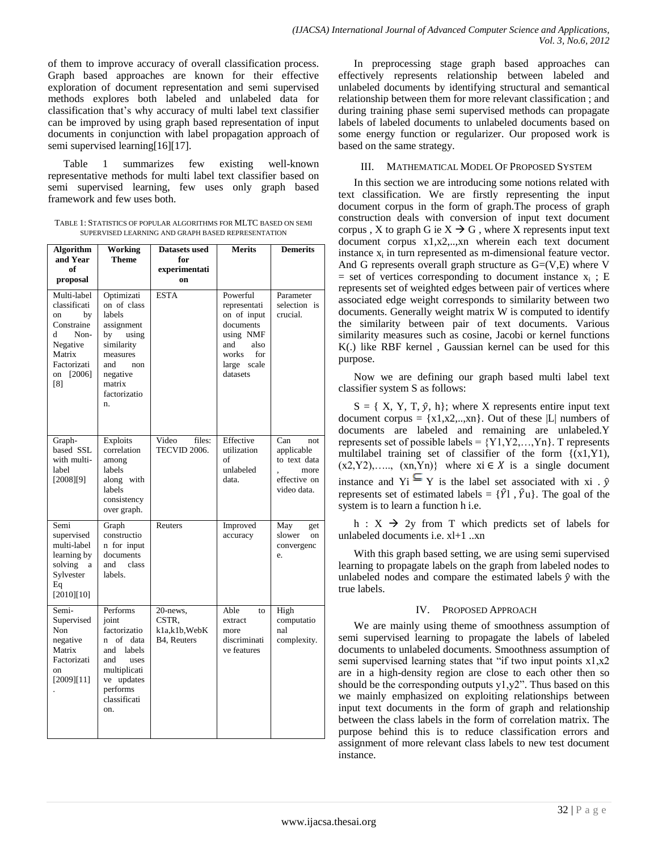of them to improve accuracy of overall classification process. Graph based approaches are known for their effective exploration of document representation and semi supervised methods explores both labeled and unlabeled data for classification that's why accuracy of multi label text classifier can be improved by using graph based representation of input documents in conjunction with label propagation approach of semi supervised learning[16][17].

Table 1 summarizes few existing well-known representative methods for multi label text classifier based on semi supervised learning, few uses only graph based framework and few uses both.

TABLE 1: STATISTICS OF POPULAR ALGORITHMS FOR MLTC BASED ON SEMI SUPERVISED LEARNING AND GRAPH BASED REPRESENTATION

| <b>Algorithm</b><br>and Year<br>of<br>proposal                                                                              | Working<br><b>Theme</b>                                                                                                                                       | Datasets used<br>for<br>experimentati<br>on       | <b>Merits</b>                                                                                                               | <b>Demerits</b>                                                                 |  |
|-----------------------------------------------------------------------------------------------------------------------------|---------------------------------------------------------------------------------------------------------------------------------------------------------------|---------------------------------------------------|-----------------------------------------------------------------------------------------------------------------------------|---------------------------------------------------------------------------------|--|
| Multi-label<br>classificati<br>by<br>on<br>Constraine<br>d<br>Non-<br>Negative<br>Matrix<br>Factorizati<br>on [2006]<br>[8] | Optimizati<br>on of class<br>labels<br>assignment<br>using<br>by<br>similarity<br>measures<br>and<br>non<br>negative<br>matrix<br>factorizatio<br>n.          | <b>ESTA</b>                                       | Powerful<br>representati<br>on of input<br>documents<br>using NMF<br>and<br>also<br>works<br>for<br>large scale<br>datasets | Parameter<br>selection is<br>crucial.                                           |  |
| Graph-<br>based SSL<br>with multi-<br>label<br>[2008][9]                                                                    | Exploits<br>correlation<br>among<br>labels<br>along with<br>labels<br>consistency<br>over graph.                                                              | Video<br>files:<br>TECVID 2006.                   | Effective<br>utilization<br>of<br>unlabeled<br>data.                                                                        | Can<br>not<br>applicable<br>to text data<br>more<br>effective on<br>video data. |  |
| Semi<br>supervised<br>multi-label<br>learning by<br>solving<br>a<br>Sylvester<br>Eq<br>[2010][10]                           | Graph<br>constructio<br>n for input<br>documents<br>and<br>class<br>labels.                                                                                   | Reuters                                           | Improved<br>accuracy                                                                                                        | May<br>get<br>slower<br>on<br>convergenc<br>e.                                  |  |
| Semi-<br>Supervised<br>Non<br>negative<br>Matrix<br>Factorizati<br>on<br>[2009][11]                                         | Performs<br>joint<br>factorizatio<br>of data<br><sub>n</sub><br>and<br>labels<br>uses<br>and<br>multiplicati<br>ve updates<br>performs<br>classificati<br>on. | 20-news,<br>CSTR.<br>k1a,k1b, WebK<br>B4, Reuters | Able<br>to<br>extract<br>more<br>discriminati<br>ve features                                                                | High<br>computatio<br>nal<br>complexity.                                        |  |

In preprocessing stage graph based approaches can effectively represents relationship between labeled and unlabeled documents by identifying structural and semantical relationship between them for more relevant classification ; and during training phase semi supervised methods can propagate labels of labeled documents to unlabeled documents based on some energy function or regularizer. Our proposed work is based on the same strategy.

#### III. MATHEMATICAL MODEL OF PROPOSED SYSTEM

In this section we are introducing some notions related with text classification. We are firstly representing the input document corpus in the form of graph.The process of graph construction deals with conversion of input text document corpus , X to graph G ie  $X \rightarrow G$ , where X represents input text document corpus x1,x2,..,xn wherein each text document instance  $x_i$  in turn represented as m-dimensional feature vector. And G represents overall graph structure as  $G=(V,E)$  where V  $=$  set of vertices corresponding to document instance  $x_i$ ; E represents set of weighted edges between pair of vertices where associated edge weight corresponds to similarity between two documents. Generally weight matrix W is computed to identify the similarity between pair of text documents. Various similarity measures such as cosine, Jacobi or kernel functions K(.) like RBF kernel , Gaussian kernel can be used for this purpose.

Now we are defining our graph based multi label text classifier system S as follows:

 $S = \{ X, Y, T, \hat{y}, h \}$ ; where X represents entire input text document corpus =  ${x1,x2,...,xn}$ . Out of these |L| numbers of documents are labeled and remaining are unlabeled.Y represents set of possible labels =  ${Y1, Y2, ..., Yn}$ . T represents multilabel training set of classifier of the form {(x1,Y1),  $(x2,Y2),..., (xn,Yn)$ } where  $xi \in X$  is a single document instance and Yi  $\subseteq$  Y is the label set associated with xi .  $\hat{y}$ represents set of estimated labels =  $\{\hat{Y}$ l,  $\hat{Y}$ u}. The goal of the system is to learn a function h i.e.

h :  $X \rightarrow 2y$  from T which predicts set of labels for unlabeled documents i.e. xl+1 ..xn

With this graph based setting, we are using semi supervised learning to propagate labels on the graph from labeled nodes to unlabeled nodes and compare the estimated labels  $\hat{y}$  with the true labels.

# IV. PROPOSED APPROACH

We are mainly using theme of smoothness assumption of semi supervised learning to propagate the labels of labeled documents to unlabeled documents. Smoothness assumption of semi supervised learning states that "if two input points x1,x2 are in a high-density region are close to each other then so should be the corresponding outputs y1,y2". Thus based on this we mainly emphasized on exploiting relationships between input text documents in the form of graph and relationship between the class labels in the form of correlation matrix. The purpose behind this is to reduce classification errors and assignment of more relevant class labels to new test document instance.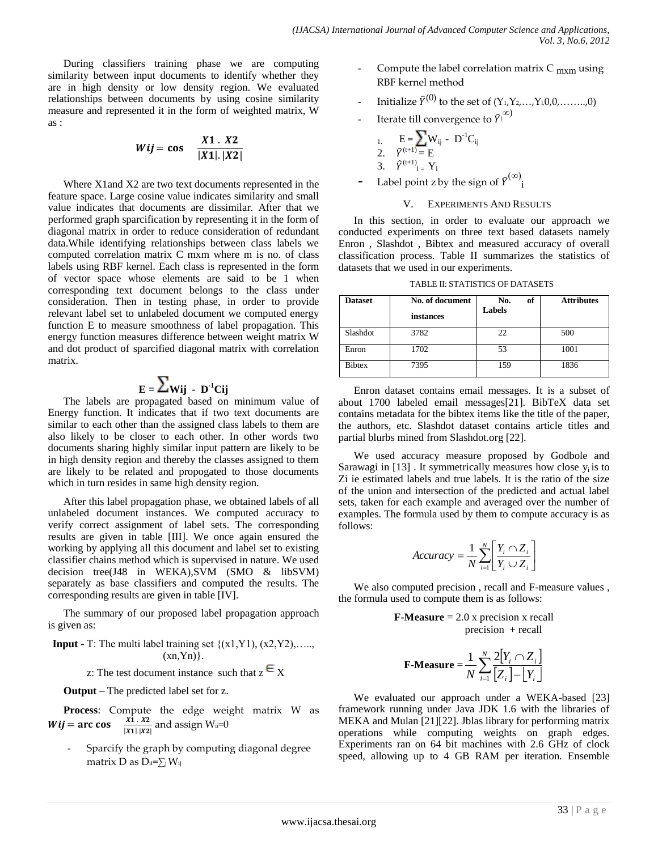During classifiers training phase we are computing similarity between input documents to identify whether they are in high density or low density region. We evaluated relationships between documents by using cosine similarity measure and represented it in the form of weighted matrix, W as :

$$
Wij = \cos \quad \frac{X1 \cdot X2}{|X1| \cdot |X2|}
$$

Where X1and X2 are two text documents represented in the feature space. Large cosine value indicates similarity and small value indicates that documents are dissimilar. After that we performed graph sparcification by representing it in the form of diagonal matrix in order to reduce consideration of redundant data.While identifying relationships between class labels we computed correlation matrix C mxm where m is no. of class labels using RBF kernel. Each class is represented in the form of vector space whose elements are said to be 1 when corresponding text document belongs to the class under consideration. Then in testing phase, in order to provide relevant label set to unlabeled document we computed energy function E to measure smoothness of label propagation. This energy function measures difference between weight matrix W and dot product of sparcified diagonal matrix with correlation matrix.

# $\mathbf{E} = \mathbf{\angle} \mathbf{W}$ ij - D<sup>-1</sup>Cij

The labels are propagated based on minimum value of Energy function. It indicates that if two text documents are similar to each other than the assigned class labels to them are also likely to be closer to each other. In other words two documents sharing highly similar input pattern are likely to be in high density region and thereby the classes assigned to them are likely to be related and propogated to those documents which in turn resides in same high density region.

After this label propagation phase, we obtained labels of all unlabeled document instances. We computed accuracy to verify correct assignment of label sets. The corresponding results are given in table [III]. We once again ensured the working by applying all this document and label set to existing classifier chains method which is supervised in nature. We used decision tree(J48 in WEKA),SVM (SMO & libSVM) separately as base classifiers and computed the results. The corresponding results are given in table [IV].

The summary of our proposed label propagation approach is given as:

**Input** - T: The multi label training set  $\{(x1, Y1), (x2, Y2), \ldots\}$  $(xn,Yn)$ .

z: The test document instance such that  $z \in X$ 

**Output** – The predicted label set for z.

**Process**: Compute the edge weight matrix W as  $Wij = \arccos \frac{x}{1+y}$  $\frac{X_1 \cdot X_2}{|X_1| \cdot |X_2|}$  and assign W<sub>ii</sub>=0

Sparcify the graph by computing diagonal degree matrix D as  $D_{ii}=\sum_j W_{ij}$ 

- Compute the label correlation matrix  $C_{\text{mxm}}$  using RBF kernel method
- Initialize  $\hat{Y}^{(0)}$  to the set of  $(Y_1, Y_2, ..., Y_k, 0, 0, ..., 0)$
- Iterate till convergence to  $\widehat{\mathcal{V}}^{(\infty)}$

1. 
$$
E = \sum W_{ij} - D^{-1}C_{ij}
$$
  
2.  $\hat{Y}^{(t+1)} = E$   
3.  $\hat{Y}^{(t+1)} = Y_1$ 

- Label point z by the sign of  $\widehat{Y}^{(\infty)}$ i

#### V. EXPERIMENTS AND RESULTS

In this section, in order to evaluate our approach we conducted experiments on three text based datasets namely Enron , Slashdot , Bibtex and measured accuracy of overall classification process. Table II summarizes the statistics of datasets that we used in our experiments.

| TABLE II: STATISTICS OF DATASETS |  |
|----------------------------------|--|
|----------------------------------|--|

| <b>Dataset</b> | No. of document<br>instances | No.<br>of<br><b>Labels</b> | <b>Attributes</b> |
|----------------|------------------------------|----------------------------|-------------------|
| Slashdot       | 3782                         | 22                         | 500               |
| Enron          | 1702                         | 53                         | 1001              |
| <b>Bibtex</b>  | 7395                         | 159                        | 1836              |

Enron dataset contains email messages. It is a subset of about 1700 labeled email messages[21]. BibTeX data set contains metadata for the bibtex items like the title of the paper, the authors, etc. Slashdot dataset contains article titles and partial blurbs mined from Slashdot.org [22].

We used accuracy measure proposed by Godbole and Sarawagi in  $[13]$ . It symmetrically measures how close  $y_i$  is to Zi ie estimated labels and true labels. It is the ratio of the size of the union and intersection of the predicted and actual label sets, taken for each example and averaged over the number of examples. The formula used by them to compute accuracy is as follows:

$$
Accuracy = \frac{1}{N} \sum_{i=1}^{N} \left[ \frac{Y_i \cap Z_i}{Y_i \cup Z_i} \right]
$$

We also computed precision , recall and F-measure values , the formula used to compute them is as follows:

> **F-Measure** = 2.0 x precision x recall  $precision + recall$

$$
\textbf{F-Measure} = \frac{1}{N} \sum_{i=1}^{N} \frac{2[Y_i \cap Z_i]}{[Z_i] - [Y_i]}
$$

We evaluated our approach under a WEKA-based [23] framework running under Java JDK 1.6 with the libraries of MEKA and Mulan [21][22]. Jblas library for performing matrix operations while computing weights on graph edges. Experiments ran on 64 bit machines with 2.6 GHz of clock speed, allowing up to 4 GB RAM per iteration. Ensemble